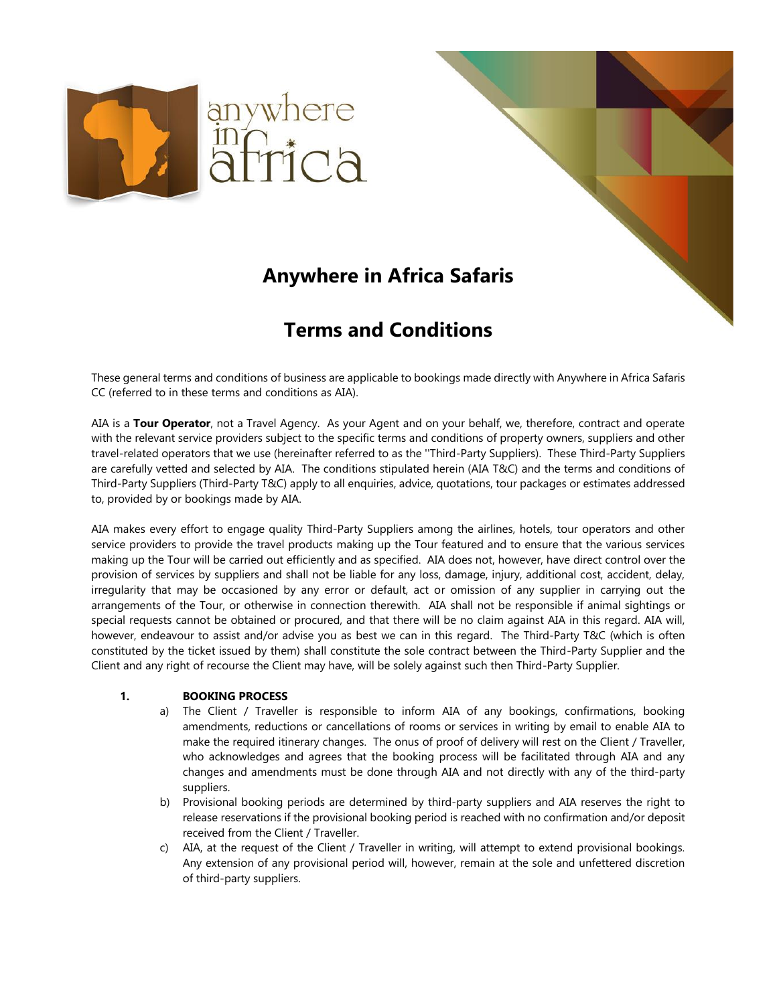

# **Anywhere in Africa Safaris**

## **Terms and Conditions**

These general terms and conditions of business are applicable to bookings made directly with Anywhere in Africa Safaris CC (referred to in these terms and conditions as AIA).

AIA is a **Tour Operator**, not a Travel Agency. As your Agent and on your behalf, we, therefore, contract and operate with the relevant service providers subject to the specific terms and conditions of property owners, suppliers and other travel-related operators that we use (hereinafter referred to as the ''Third-Party Suppliers). These Third-Party Suppliers are carefully vetted and selected by AIA. The conditions stipulated herein (AIA T&C) and the terms and conditions of Third-Party Suppliers (Third-Party T&C) apply to all enquiries, advice, quotations, tour packages or estimates addressed to, provided by or bookings made by AIA.

AIA makes every effort to engage quality Third-Party Suppliers among the airlines, hotels, tour operators and other service providers to provide the travel products making up the Tour featured and to ensure that the various services making up the Tour will be carried out efficiently and as specified. AIA does not, however, have direct control over the provision of services by suppliers and shall not be liable for any loss, damage, injury, additional cost, accident, delay, irregularity that may be occasioned by any error or default, act or omission of any supplier in carrying out the arrangements of the Tour, or otherwise in connection therewith. AIA shall not be responsible if animal sightings or special requests cannot be obtained or procured, and that there will be no claim against AIA in this regard. AIA will, however, endeavour to assist and/or advise you as best we can in this regard. The Third-Party T&C (which is often constituted by the ticket issued by them) shall constitute the sole contract between the Third-Party Supplier and the Client and any right of recourse the Client may have, will be solely against such then Third-Party Supplier.

#### **1. BOOKING PROCESS**

- a) The Client / Traveller is responsible to inform AIA of any bookings, confirmations, booking amendments, reductions or cancellations of rooms or services in writing by email to enable AIA to make the required itinerary changes. The onus of proof of delivery will rest on the Client / Traveller, who acknowledges and agrees that the booking process will be facilitated through AIA and any changes and amendments must be done through AIA and not directly with any of the third-party suppliers.
- b) Provisional booking periods are determined by third-party suppliers and AIA reserves the right to release reservations if the provisional booking period is reached with no confirmation and/or deposit received from the Client / Traveller.
- c) AIA, at the request of the Client / Traveller in writing, will attempt to extend provisional bookings. Any extension of any provisional period will, however, remain at the sole and unfettered discretion of third-party suppliers.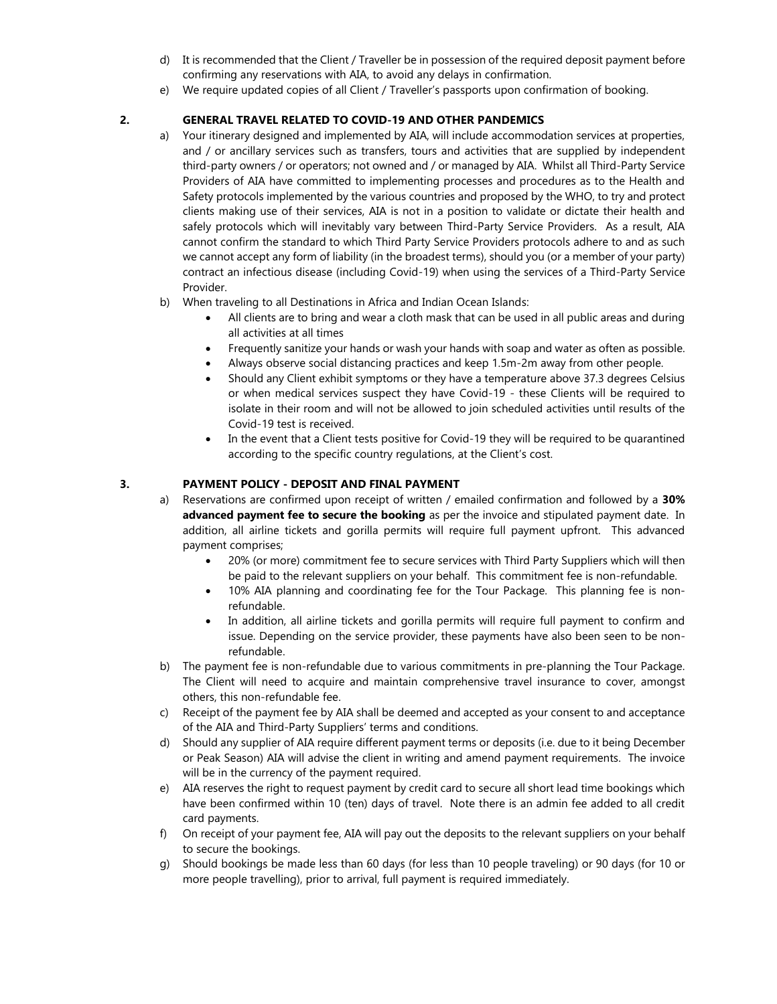- d) It is recommended that the Client / Traveller be in possession of the required deposit payment before confirming any reservations with AIA, to avoid any delays in confirmation.
- e) We require updated copies of all Client / Traveller's passports upon confirmation of booking.

#### **2. GENERAL TRAVEL RELATED TO COVID-19 AND OTHER PANDEMICS**

- a) Your itinerary designed and implemented by AIA, will include accommodation services at properties, and / or ancillary services such as transfers, tours and activities that are supplied by independent third-party owners / or operators; not owned and / or managed by AIA. Whilst all Third-Party Service Providers of AIA have committed to implementing processes and procedures as to the Health and Safety protocols implemented by the various countries and proposed by the WHO, to try and protect clients making use of their services, AIA is not in a position to validate or dictate their health and safely protocols which will inevitably vary between Third-Party Service Providers. As a result, AIA cannot confirm the standard to which Third Party Service Providers protocols adhere to and as such we cannot accept any form of liability (in the broadest terms), should you (or a member of your party) contract an infectious disease (including Covid-19) when using the services of a Third-Party Service Provider.
- b) When traveling to all Destinations in Africa and Indian Ocean Islands:
	- All clients are to bring and wear a cloth mask that can be used in all public areas and during all activities at all times
	- Frequently sanitize your hands or wash your hands with soap and water as often as possible.
	- Always observe social distancing practices and keep 1.5m-2m away from other people.
	- Should any Client exhibit symptoms or they have a temperature above 37.3 degrees Celsius or when medical services suspect they have Covid-19 - these Clients will be required to isolate in their room and will not be allowed to join scheduled activities until results of the Covid-19 test is received.
	- In the event that a Client tests positive for Covid-19 they will be required to be quarantined according to the specific country regulations, at the Client's cost.

#### **3. PAYMENT POLICY - DEPOSIT AND FINAL PAYMENT**

- a) Reservations are confirmed upon receipt of written / emailed confirmation and followed by a **30% advanced payment fee to secure the booking** as per the invoice and stipulated payment date. In addition, all airline tickets and gorilla permits will require full payment upfront. This advanced payment comprises;
	- 20% (or more) commitment fee to secure services with Third Party Suppliers which will then be paid to the relevant suppliers on your behalf. This commitment fee is non-refundable.
	- 10% AIA planning and coordinating fee for the Tour Package. This planning fee is nonrefundable.
	- In addition, all airline tickets and gorilla permits will require full payment to confirm and issue. Depending on the service provider, these payments have also been seen to be nonrefundable.
- b) The payment fee is non-refundable due to various commitments in pre-planning the Tour Package. The Client will need to acquire and maintain comprehensive travel insurance to cover, amongst others, this non-refundable fee.
- c) Receipt of the payment fee by AIA shall be deemed and accepted as your consent to and acceptance of the AIA and Third-Party Suppliers' terms and conditions.
- d) Should any supplier of AIA require different payment terms or deposits (i.e. due to it being December or Peak Season) AIA will advise the client in writing and amend payment requirements. The invoice will be in the currency of the payment required.
- e) AIA reserves the right to request payment by credit card to secure all short lead time bookings which have been confirmed within 10 (ten) days of travel. Note there is an admin fee added to all credit card payments.
- f) On receipt of your payment fee, AIA will pay out the deposits to the relevant suppliers on your behalf to secure the bookings.
- g) Should bookings be made less than 60 days (for less than 10 people traveling) or 90 days (for 10 or more people travelling), prior to arrival, full payment is required immediately.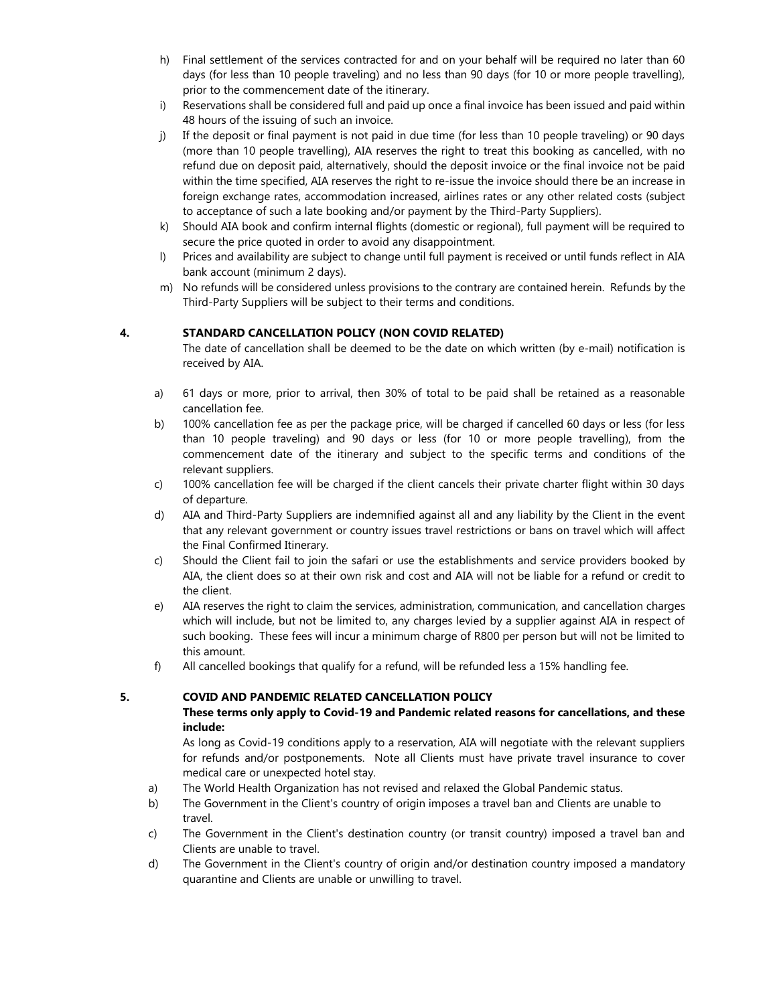- h) Final settlement of the services contracted for and on your behalf will be required no later than 60 days (for less than 10 people traveling) and no less than 90 days (for 10 or more people travelling), prior to the commencement date of the itinerary.
- i) Reservations shall be considered full and paid up once a final invoice has been issued and paid within 48 hours of the issuing of such an invoice.
- j) If the deposit or final payment is not paid in due time (for less than 10 people traveling) or 90 days (more than 10 people travelling), AIA reserves the right to treat this booking as cancelled, with no refund due on deposit paid, alternatively, should the deposit invoice or the final invoice not be paid within the time specified, AIA reserves the right to re-issue the invoice should there be an increase in foreign exchange rates, accommodation increased, airlines rates or any other related costs (subject to acceptance of such a late booking and/or payment by the Third-Party Suppliers).
- k) Should AIA book and confirm internal flights (domestic or regional), full payment will be required to secure the price quoted in order to avoid any disappointment.
- l) Prices and availability are subject to change until full payment is received or until funds reflect in AIA bank account (minimum 2 days).
- m) No refunds will be considered unless provisions to the contrary are contained herein. Refunds by the Third-Party Suppliers will be subject to their terms and conditions.

#### **4. STANDARD CANCELLATION POLICY (NON COVID RELATED)**

The date of cancellation shall be deemed to be the date on which written (by e-mail) notification is received by AIA.

- a) 61 days or more, prior to arrival, then 30% of total to be paid shall be retained as a reasonable cancellation fee.
- b) 100% cancellation fee as per the package price, will be charged if cancelled 60 days or less (for less than 10 people traveling) and 90 days or less (for 10 or more people travelling), from the commencement date of the itinerary and subject to the specific terms and conditions of the relevant suppliers.
- c) 100% cancellation fee will be charged if the client cancels their private charter flight within 30 days of departure.
- d) AIA and Third-Party Suppliers are indemnified against all and any liability by the Client in the event that any relevant government or country issues travel restrictions or bans on travel which will affect the Final Confirmed Itinerary.
- c) Should the Client fail to join the safari or use the establishments and service providers booked by AIA, the client does so at their own risk and cost and AIA will not be liable for a refund or credit to the client.
- e) AIA reserves the right to claim the services, administration, communication, and cancellation charges which will include, but not be limited to, any charges levied by a supplier against AIA in respect of such booking. These fees will incur a minimum charge of R800 per person but will not be limited to this amount.
- f) All cancelled bookings that qualify for a refund, will be refunded less a 15% handling fee.

#### **5. COVID AND PANDEMIC RELATED CANCELLATION POLICY**

#### **These terms only apply to Covid-19 and Pandemic related reasons for cancellations, and these include:**

As long as Covid-19 conditions apply to a reservation, AIA will negotiate with the relevant suppliers for refunds and/or postponements. Note all Clients must have private travel insurance to cover medical care or unexpected hotel stay.

- a) The World Health Organization has not revised and relaxed the Global Pandemic status.
- b) The Government in the Client's country of origin imposes a travel ban and Clients are unable to travel.
- c) The Government in the Client's destination country (or transit country) imposed a travel ban and Clients are unable to travel.
- d) The Government in the Client's country of origin and/or destination country imposed a mandatory quarantine and Clients are unable or unwilling to travel.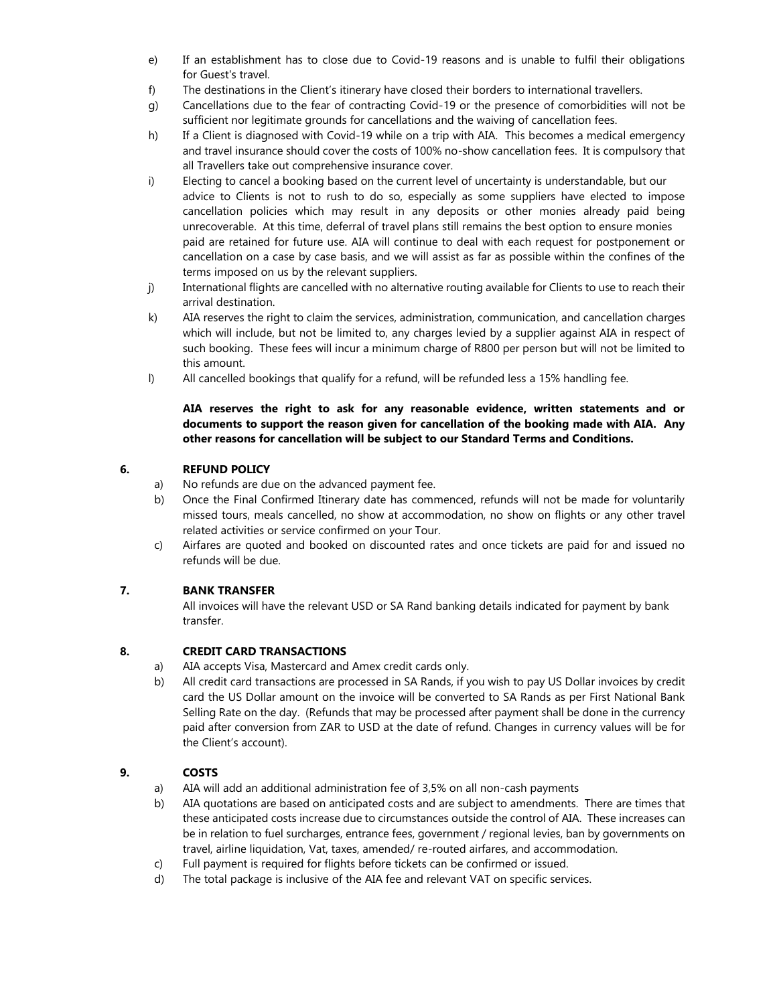- e) If an establishment has to close due to Covid-19 reasons and is unable to fulfil their obligations for Guest's travel.
- f) The destinations in the Client's itinerary have closed their borders to international travellers.
- g) Cancellations due to the fear of contracting Covid-19 or the presence of comorbidities will not be sufficient nor legitimate grounds for cancellations and the waiving of cancellation fees.
- h) If a Client is diagnosed with Covid-19 while on a trip with AIA. This becomes a medical emergency and travel insurance should cover the costs of 100% no-show cancellation fees. It is compulsory that all Travellers take out comprehensive insurance cover.
- i) Electing to cancel a booking based on the current level of uncertainty is understandable, but our advice to Clients is not to rush to do so, especially as some suppliers have elected to impose cancellation policies which may result in any deposits or other monies already paid being unrecoverable. At this time, deferral of travel plans still remains the best option to ensure monies paid are retained for future use. AIA will continue to deal with each request for postponement or cancellation on a case by case basis, and we will assist as far as possible within the confines of the terms imposed on us by the relevant suppliers.
- j) International flights are cancelled with no alternative routing available for Clients to use to reach their arrival destination.
- k) AIA reserves the right to claim the services, administration, communication, and cancellation charges which will include, but not be limited to, any charges levied by a supplier against AIA in respect of such booking. These fees will incur a minimum charge of R800 per person but will not be limited to this amount.
- l) All cancelled bookings that qualify for a refund, will be refunded less a 15% handling fee.

#### **AIA reserves the right to ask for any reasonable evidence, written statements and or documents to support the reason given for cancellation of the booking made with AIA. Any other reasons for cancellation will be subject to our Standard Terms and Conditions.**

#### **6. REFUND POLICY**

- a) No refunds are due on the advanced payment fee.
- b) Once the Final Confirmed Itinerary date has commenced, refunds will not be made for voluntarily missed tours, meals cancelled, no show at accommodation, no show on flights or any other travel related activities or service confirmed on your Tour.
- c) Airfares are quoted and booked on discounted rates and once tickets are paid for and issued no refunds will be due.

## **7. BANK TRANSFER**

All invoices will have the relevant USD or SA Rand banking details indicated for payment by bank transfer.

## **8. CREDIT CARD TRANSACTIONS**

- a) AIA accepts Visa, Mastercard and Amex credit cards only.
- b) All credit card transactions are processed in SA Rands, if you wish to pay US Dollar invoices by credit card the US Dollar amount on the invoice will be converted to SA Rands as per First National Bank Selling Rate on the day. (Refunds that may be processed after payment shall be done in the currency paid after conversion from ZAR to USD at the date of refund. Changes in currency values will be for the Client's account).

## **9. COSTS**

- a) AIA will add an additional administration fee of 3,5% on all non-cash payments
- b) AIA quotations are based on anticipated costs and are subject to amendments. There are times that these anticipated costs increase due to circumstances outside the control of AIA. These increases can be in relation to fuel surcharges, entrance fees, government / regional levies, ban by governments on travel, airline liquidation, Vat, taxes, amended/ re-routed airfares, and accommodation.
- c) Full payment is required for flights before tickets can be confirmed or issued.
- d) The total package is inclusive of the AIA fee and relevant VAT on specific services.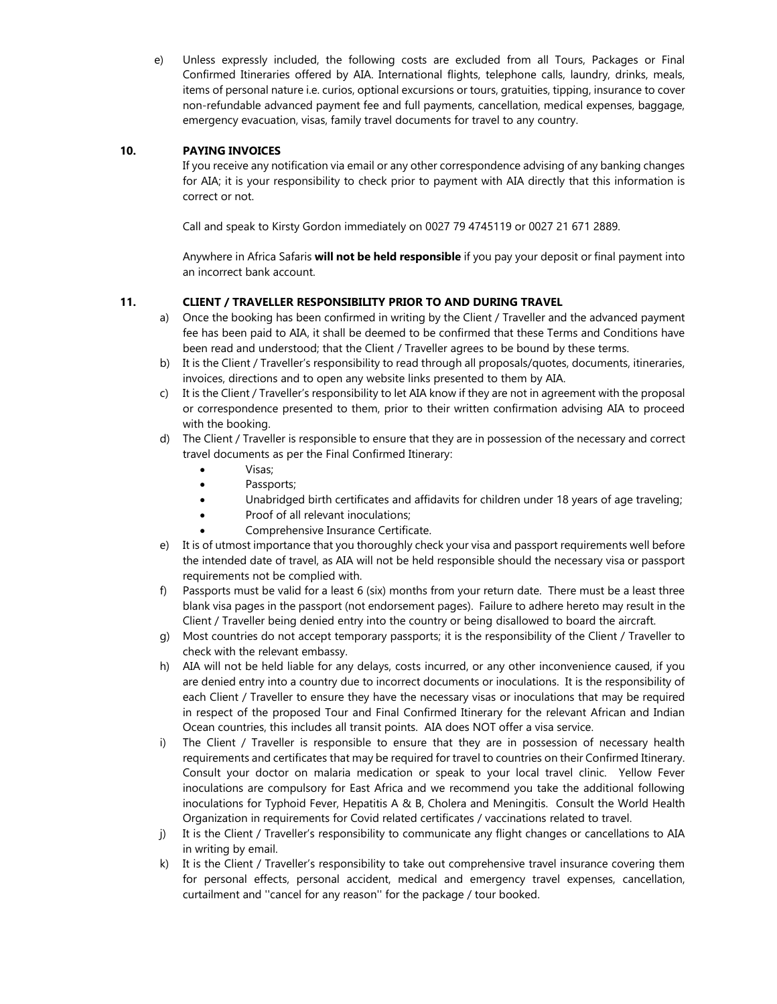e) Unless expressly included, the following costs are excluded from all Tours, Packages or Final Confirmed Itineraries offered by AIA. International flights, telephone calls, laundry, drinks, meals, items of personal nature i.e. curios, optional excursions or tours, gratuities, tipping, insurance to cover non-refundable advanced payment fee and full payments, cancellation, medical expenses, baggage, emergency evacuation, visas, family travel documents for travel to any country.

#### **10. PAYING INVOICES**

If you receive any notification via email or any other correspondence advising of any banking changes for AIA; it is your responsibility to check prior to payment with AIA directly that this information is correct or not.

Call and speak to Kirsty Gordon immediately on 0027 79 4745119 or 0027 21 671 2889.

Anywhere in Africa Safaris **will not be held responsible** if you pay your deposit or final payment into an incorrect bank account.

## **11. CLIENT / TRAVELLER RESPONSIBILITY PRIOR TO AND DURING TRAVEL**

- a) Once the booking has been confirmed in writing by the Client / Traveller and the advanced payment fee has been paid to AIA, it shall be deemed to be confirmed that these Terms and Conditions have been read and understood; that the Client / Traveller agrees to be bound by these terms.
- b) It is the Client / Traveller's responsibility to read through all proposals/quotes, documents, itineraries, invoices, directions and to open any website links presented to them by AIA.
- c) It is the Client / Traveller's responsibility to let AIA know if they are not in agreement with the proposal or correspondence presented to them, prior to their written confirmation advising AIA to proceed with the booking.
- d) The Client / Traveller is responsible to ensure that they are in possession of the necessary and correct travel documents as per the Final Confirmed Itinerary:
	- Visas;
	- Passports;
	- Unabridged birth certificates and affidavits for children under 18 years of age traveling;
	- Proof of all relevant inoculations;
	- Comprehensive Insurance Certificate.
- e) It is of utmost importance that you thoroughly check your visa and passport requirements well before the intended date of travel, as AIA will not be held responsible should the necessary visa or passport requirements not be complied with.
- f) Passports must be valid for a least 6 (six) months from your return date. There must be a least three blank visa pages in the passport (not endorsement pages). Failure to adhere hereto may result in the Client / Traveller being denied entry into the country or being disallowed to board the aircraft.
- g) Most countries do not accept temporary passports; it is the responsibility of the Client / Traveller to check with the relevant embassy.
- h) AIA will not be held liable for any delays, costs incurred, or any other inconvenience caused, if you are denied entry into a country due to incorrect documents or inoculations. It is the responsibility of each Client / Traveller to ensure they have the necessary visas or inoculations that may be required in respect of the proposed Tour and Final Confirmed Itinerary for the relevant African and Indian Ocean countries, this includes all transit points. AIA does NOT offer a visa service.
- i) The Client / Traveller is responsible to ensure that they are in possession of necessary health requirements and certificates that may be required for travel to countries on their Confirmed Itinerary. Consult your doctor on malaria medication or speak to your local travel clinic. Yellow Fever inoculations are compulsory for East Africa and we recommend you take the additional following inoculations for Typhoid Fever, Hepatitis A & B, Cholera and Meningitis. Consult the World Health Organization in requirements for Covid related certificates / vaccinations related to travel.
- j) It is the Client / Traveller's responsibility to communicate any flight changes or cancellations to AIA in writing by email.
- k) It is the Client / Traveller's responsibility to take out comprehensive travel insurance covering them for personal effects, personal accident, medical and emergency travel expenses, cancellation, curtailment and ''cancel for any reason'' for the package / tour booked.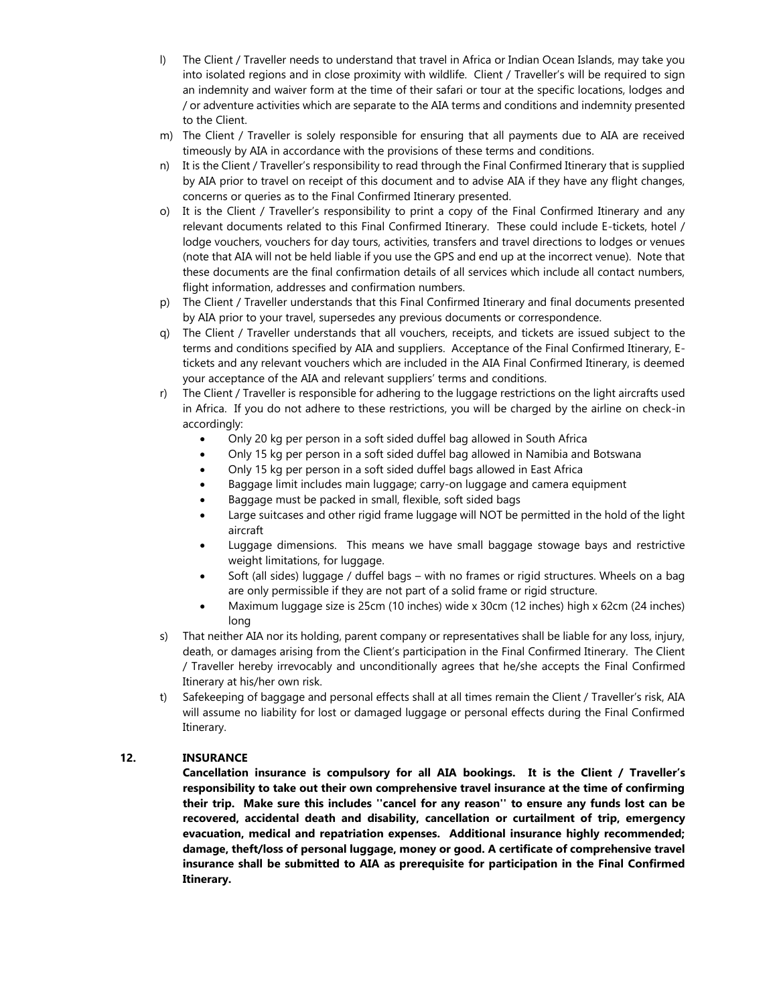- l) The Client / Traveller needs to understand that travel in Africa or Indian Ocean Islands, may take you into isolated regions and in close proximity with wildlife. Client / Traveller's will be required to sign an indemnity and waiver form at the time of their safari or tour at the specific locations, lodges and / or adventure activities which are separate to the AIA terms and conditions and indemnity presented to the Client.
- m) The Client / Traveller is solely responsible for ensuring that all payments due to AIA are received timeously by AIA in accordance with the provisions of these terms and conditions.
- n) It is the Client / Traveller's responsibility to read through the Final Confirmed Itinerary that is supplied by AIA prior to travel on receipt of this document and to advise AIA if they have any flight changes, concerns or queries as to the Final Confirmed Itinerary presented.
- o) It is the Client / Traveller's responsibility to print a copy of the Final Confirmed Itinerary and any relevant documents related to this Final Confirmed Itinerary. These could include E-tickets, hotel / lodge vouchers, vouchers for day tours, activities, transfers and travel directions to lodges or venues (note that AIA will not be held liable if you use the GPS and end up at the incorrect venue). Note that these documents are the final confirmation details of all services which include all contact numbers, flight information, addresses and confirmation numbers.
- p) The Client / Traveller understands that this Final Confirmed Itinerary and final documents presented by AIA prior to your travel, supersedes any previous documents or correspondence.
- q) The Client / Traveller understands that all vouchers, receipts, and tickets are issued subject to the terms and conditions specified by AIA and suppliers. Acceptance of the Final Confirmed Itinerary, Etickets and any relevant vouchers which are included in the AIA Final Confirmed Itinerary, is deemed your acceptance of the AIA and relevant suppliers' terms and conditions.
- r) The Client / Traveller is responsible for adhering to the luggage restrictions on the light aircrafts used in Africa. If you do not adhere to these restrictions, you will be charged by the airline on check-in accordingly:
	- Only 20 kg per person in a soft sided duffel bag allowed in South Africa
	- Only 15 kg per person in a soft sided duffel bag allowed in Namibia and Botswana
	- Only 15 kg per person in a soft sided duffel bags allowed in East Africa
	- Baggage limit includes main luggage; carry-on luggage and camera equipment
	- Baggage must be packed in small, flexible, soft sided bags
	- Large suitcases and other rigid frame luggage will NOT be permitted in the hold of the light aircraft
	- Luggage dimensions. This means we have small baggage stowage bays and restrictive weight limitations, for luggage.
	- Soft (all sides) luggage / duffel bags with no frames or rigid structures. Wheels on a bag are only permissible if they are not part of a solid frame or rigid structure.
	- Maximum luggage size is 25cm (10 inches) wide x 30cm (12 inches) high x 62cm (24 inches) long
- s) That neither AIA nor its holding, parent company or representatives shall be liable for any loss, injury, death, or damages arising from the Client's participation in the Final Confirmed Itinerary. The Client / Traveller hereby irrevocably and unconditionally agrees that he/she accepts the Final Confirmed Itinerary at his/her own risk.
- t) Safekeeping of baggage and personal effects shall at all times remain the Client / Traveller's risk, AIA will assume no liability for lost or damaged luggage or personal effects during the Final Confirmed Itinerary.

#### **12. INSURANCE**

**Cancellation insurance is compulsory for all AIA bookings. It is the Client / Traveller's responsibility to take out their own comprehensive travel insurance at the time of confirming their trip. Make sure this includes ''cancel for any reason'' to ensure any funds lost can be recovered, accidental death and disability, cancellation or curtailment of trip, emergency evacuation, medical and repatriation expenses. Additional insurance highly recommended; damage, theft/loss of personal luggage, money or good. A certificate of comprehensive travel insurance shall be submitted to AIA as prerequisite for participation in the Final Confirmed Itinerary.**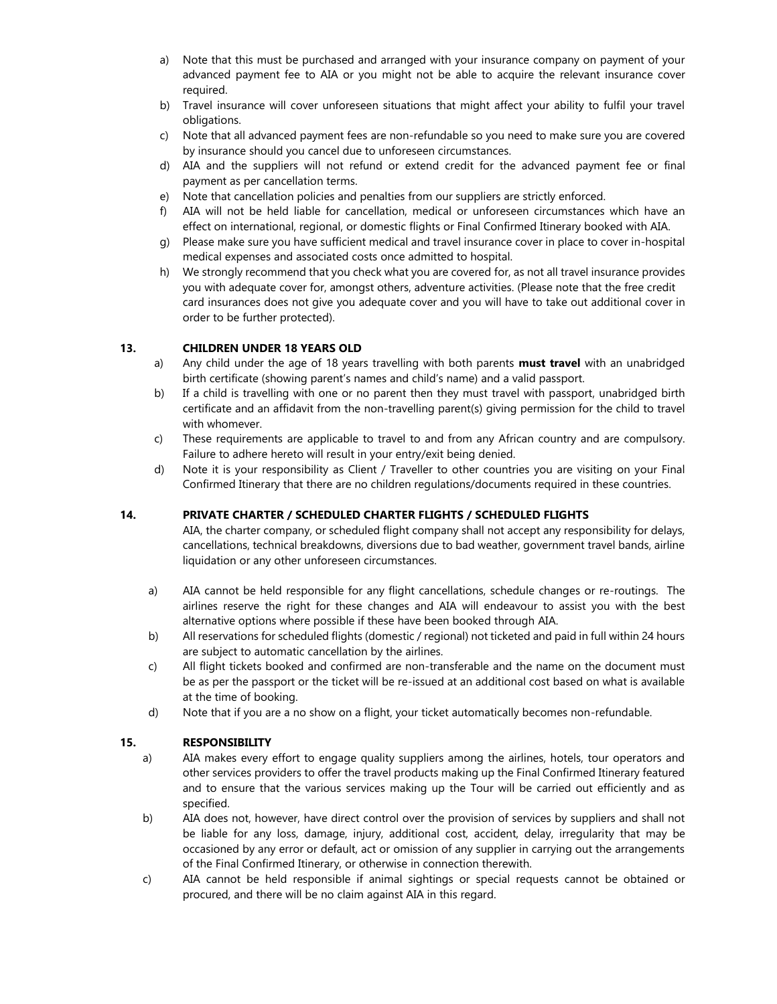- a) Note that this must be purchased and arranged with your insurance company on payment of your advanced payment fee to AIA or you might not be able to acquire the relevant insurance cover required.
- b) Travel insurance will cover unforeseen situations that might affect your ability to fulfil your travel obligations.
- c) Note that all advanced payment fees are non-refundable so you need to make sure you are covered by insurance should you cancel due to unforeseen circumstances.
- d) AIA and the suppliers will not refund or extend credit for the advanced payment fee or final payment as per cancellation terms.
- e) Note that cancellation policies and penalties from our suppliers are strictly enforced.
- f) AIA will not be held liable for cancellation, medical or unforeseen circumstances which have an effect on international, regional, or domestic flights or Final Confirmed Itinerary booked with AIA.
- g) Please make sure you have sufficient medical and travel insurance cover in place to cover in-hospital medical expenses and associated costs once admitted to hospital.
- h) We strongly recommend that you check what you are covered for, as not all travel insurance provides you with adequate cover for, amongst others, adventure activities. (Please note that the free credit card insurances does not give you adequate cover and you will have to take out additional cover in order to be further protected).

#### **13. CHILDREN UNDER 18 YEARS OLD**

- a) Any child under the age of 18 years travelling with both parents **must travel** with an unabridged birth certificate (showing parent's names and child's name) and a valid passport.
- b) If a child is travelling with one or no parent then they must travel with passport, unabridged birth certificate and an affidavit from the non-travelling parent(s) giving permission for the child to travel with whomever.
- c) These requirements are applicable to travel to and from any African country and are compulsory. Failure to adhere hereto will result in your entry/exit being denied.
- d) Note it is your responsibility as Client / Traveller to other countries you are visiting on your Final Confirmed Itinerary that there are no children regulations/documents required in these countries.

#### **14. PRIVATE CHARTER / SCHEDULED CHARTER FLIGHTS / SCHEDULED FLIGHTS**

AIA, the charter company, or scheduled flight company shall not accept any responsibility for delays, cancellations, technical breakdowns, diversions due to bad weather, government travel bands, airline liquidation or any other unforeseen circumstances.

- a) AIA cannot be held responsible for any flight cancellations, schedule changes or re-routings. The airlines reserve the right for these changes and AIA will endeavour to assist you with the best alternative options where possible if these have been booked through AIA.
- b) All reservations for scheduled flights (domestic / regional) not ticketed and paid in full within 24 hours are subject to automatic cancellation by the airlines.
- c) All flight tickets booked and confirmed are non-transferable and the name on the document must be as per the passport or the ticket will be re-issued at an additional cost based on what is available at the time of booking.
- d) Note that if you are a no show on a flight, your ticket automatically becomes non-refundable.

#### **15. RESPONSIBILITY**

- a) AIA makes every effort to engage quality suppliers among the airlines, hotels, tour operators and other services providers to offer the travel products making up the Final Confirmed Itinerary featured and to ensure that the various services making up the Tour will be carried out efficiently and as specified.
- b) AIA does not, however, have direct control over the provision of services by suppliers and shall not be liable for any loss, damage, injury, additional cost, accident, delay, irregularity that may be occasioned by any error or default, act or omission of any supplier in carrying out the arrangements of the Final Confirmed Itinerary, or otherwise in connection therewith.
- c) AIA cannot be held responsible if animal sightings or special requests cannot be obtained or procured, and there will be no claim against AIA in this regard.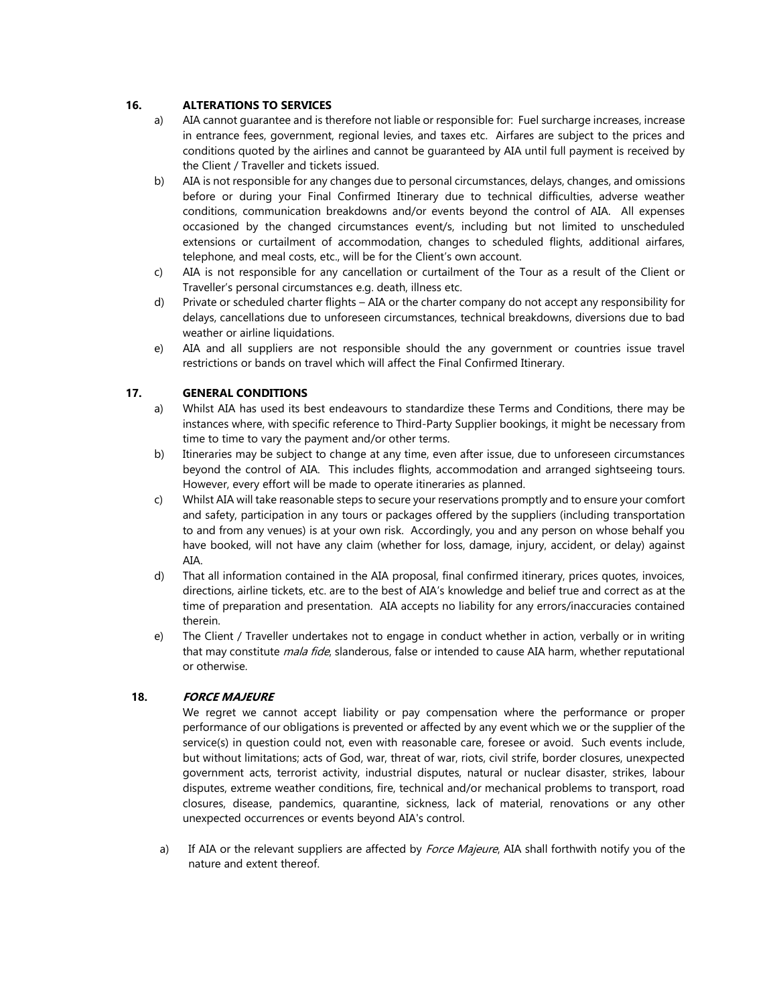## **16. ALTERATIONS TO SERVICES**

- a) AIA cannot guarantee and is therefore not liable or responsible for: Fuel surcharge increases, increase in entrance fees, government, regional levies, and taxes etc. Airfares are subject to the prices and conditions quoted by the airlines and cannot be guaranteed by AIA until full payment is received by the Client / Traveller and tickets issued.
- b) AIA is not responsible for any changes due to personal circumstances, delays, changes, and omissions before or during your Final Confirmed Itinerary due to technical difficulties, adverse weather conditions, communication breakdowns and/or events beyond the control of AIA. All expenses occasioned by the changed circumstances event/s, including but not limited to unscheduled extensions or curtailment of accommodation, changes to scheduled flights, additional airfares, telephone, and meal costs, etc., will be for the Client's own account.
- c) AIA is not responsible for any cancellation or curtailment of the Tour as a result of the Client or Traveller's personal circumstances e.g. death, illness etc.
- d) Private or scheduled charter flights AIA or the charter company do not accept any responsibility for delays, cancellations due to unforeseen circumstances, technical breakdowns, diversions due to bad weather or airline liquidations.
- e) AIA and all suppliers are not responsible should the any government or countries issue travel restrictions or bands on travel which will affect the Final Confirmed Itinerary.

## **17. GENERAL CONDITIONS**

- a) Whilst AIA has used its best endeavours to standardize these Terms and Conditions, there may be instances where, with specific reference to Third-Party Supplier bookings, it might be necessary from time to time to vary the payment and/or other terms.
- b) Itineraries may be subject to change at any time, even after issue, due to unforeseen circumstances beyond the control of AIA. This includes flights, accommodation and arranged sightseeing tours. However, every effort will be made to operate itineraries as planned.
- c) Whilst AIA will take reasonable steps to secure your reservations promptly and to ensure your comfort and safety, participation in any tours or packages offered by the suppliers (including transportation to and from any venues) is at your own risk. Accordingly, you and any person on whose behalf you have booked, will not have any claim (whether for loss, damage, injury, accident, or delay) against AIA.
- d) That all information contained in the AIA proposal, final confirmed itinerary, prices quotes, invoices, directions, airline tickets, etc. are to the best of AIA's knowledge and belief true and correct as at the time of preparation and presentation. AIA accepts no liability for any errors/inaccuracies contained therein.
- e) The Client / Traveller undertakes not to engage in conduct whether in action, verbally or in writing that may constitute *mala fide*, slanderous, false or intended to cause AIA harm, whether reputational or otherwise.

#### **18. FORCE MAJEURE**

We regret we cannot accept liability or pay compensation where the performance or proper performance of our obligations is prevented or affected by any event which we or the supplier of the service(s) in question could not, even with reasonable care, foresee or avoid. Such events include, but without limitations; acts of God, war, threat of war, riots, civil strife, border closures, unexpected government acts, terrorist activity, industrial disputes, natural or nuclear disaster, strikes, labour disputes, extreme weather conditions, fire, technical and/or mechanical problems to transport, road closures, disease, pandemics, quarantine, sickness, lack of material, renovations or any other unexpected occurrences or events beyond AIA's control.

a) If AIA or the relevant suppliers are affected by Force Majeure, AIA shall forthwith notify you of the nature and extent thereof.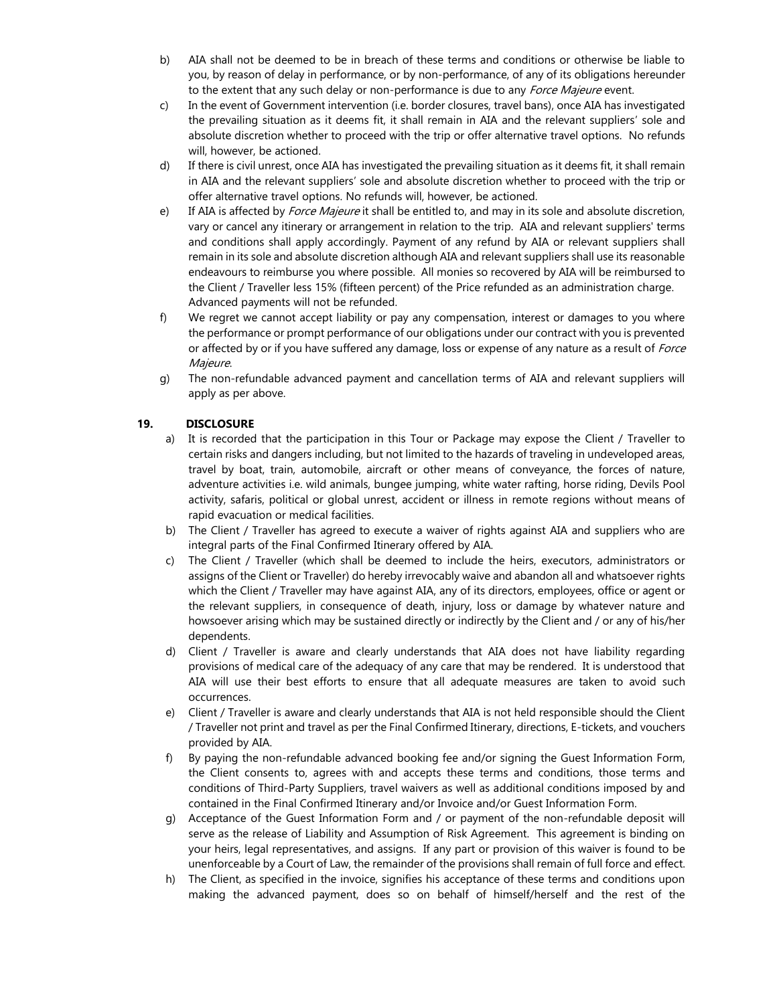- b) AIA shall not be deemed to be in breach of these terms and conditions or otherwise be liable to you, by reason of delay in performance, or by non-performance, of any of its obligations hereunder to the extent that any such delay or non-performance is due to any Force Majeure event.
- c) In the event of Government intervention (i.e. border closures, travel bans), once AIA has investigated the prevailing situation as it deems fit, it shall remain in AIA and the relevant suppliers' sole and absolute discretion whether to proceed with the trip or offer alternative travel options. No refunds will, however, be actioned.
- d) If there is civil unrest, once AIA has investigated the prevailing situation as it deems fit, it shall remain in AIA and the relevant suppliers' sole and absolute discretion whether to proceed with the trip or offer alternative travel options. No refunds will, however, be actioned.
- e) If AIA is affected by *Force Majeure* it shall be entitled to, and may in its sole and absolute discretion, vary or cancel any itinerary or arrangement in relation to the trip. AIA and relevant suppliers' terms and conditions shall apply accordingly. Payment of any refund by AIA or relevant suppliers shall remain in its sole and absolute discretion although AIA and relevant suppliers shall use its reasonable endeavours to reimburse you where possible. All monies so recovered by AIA will be reimbursed to the Client / Traveller less 15% (fifteen percent) of the Price refunded as an administration charge. Advanced payments will not be refunded.
- f) We regret we cannot accept liability or pay any compensation, interest or damages to you where the performance or prompt performance of our obligations under our contract with you is prevented or affected by or if you have suffered any damage, loss or expense of any nature as a result of Force Majeure.
- g) The non-refundable advanced payment and cancellation terms of AIA and relevant suppliers will apply as per above.

#### **19. DISCLOSURE**

- a) It is recorded that the participation in this Tour or Package may expose the Client / Traveller to certain risks and dangers including, but not limited to the hazards of traveling in undeveloped areas, travel by boat, train, automobile, aircraft or other means of conveyance, the forces of nature, adventure activities i.e. wild animals, bungee jumping, white water rafting, horse riding, Devils Pool activity, safaris, political or global unrest, accident or illness in remote regions without means of rapid evacuation or medical facilities.
- b) The Client / Traveller has agreed to execute a waiver of rights against AIA and suppliers who are integral parts of the Final Confirmed Itinerary offered by AIA.
- c) The Client / Traveller (which shall be deemed to include the heirs, executors, administrators or assigns of the Client or Traveller) do hereby irrevocably waive and abandon all and whatsoever rights which the Client / Traveller may have against AIA, any of its directors, employees, office or agent or the relevant suppliers, in consequence of death, injury, loss or damage by whatever nature and howsoever arising which may be sustained directly or indirectly by the Client and / or any of his/her dependents.
- d) Client / Traveller is aware and clearly understands that AIA does not have liability regarding provisions of medical care of the adequacy of any care that may be rendered. It is understood that AIA will use their best efforts to ensure that all adequate measures are taken to avoid such occurrences.
- e) Client / Traveller is aware and clearly understands that AIA is not held responsible should the Client / Traveller not print and travel as per the Final Confirmed Itinerary, directions, E-tickets, and vouchers provided by AIA.
- f) By paying the non-refundable advanced booking fee and/or signing the Guest Information Form, the Client consents to, agrees with and accepts these terms and conditions, those terms and conditions of Third-Party Suppliers, travel waivers as well as additional conditions imposed by and contained in the Final Confirmed Itinerary and/or Invoice and/or Guest Information Form.
- g) Acceptance of the Guest Information Form and / or payment of the non-refundable deposit will serve as the release of Liability and Assumption of Risk Agreement. This agreement is binding on your heirs, legal representatives, and assigns. If any part or provision of this waiver is found to be unenforceable by a Court of Law, the remainder of the provisions shall remain of full force and effect.
- h) The Client, as specified in the invoice, signifies his acceptance of these terms and conditions upon making the advanced payment, does so on behalf of himself/herself and the rest of the